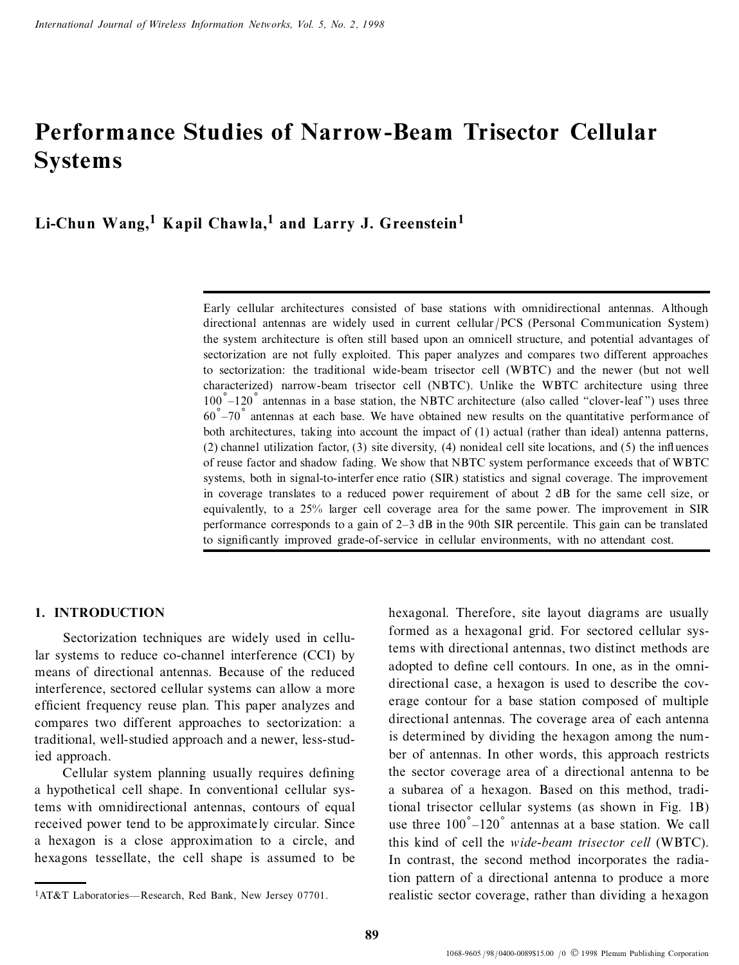# **Performance Studies of Narrow-Beam Trisector Cellular Systems**

**Li-Chun Wang,<sup>1</sup> Kapil Chawla,<sup>1</sup> and Larry J. Greenstein<sup>1</sup>**

Early cellular architectures consisted of base stations with omnidirectional antennas. Although directional antennas are widely used in current cellular / PCS (Personal Communication System) the system architecture is often still based upon an omnicell structure, and potential advantages of sectorization are not fully exploited. This paper analyzes and compares two different approaches to sectorization: the traditional wide-beam trisector cell (WBTC) and the newer (but not well characterized) narrow-beam trisector cell (NBTC). Unlike the WBTC architecture using three  $100\degree -120\degree$  antennas in a base station, the NBTC architecture (also called "clover-leaf") uses three  $60\degree$ -70 $\degree$  antennas at each base. We have obtained new results on the quantitative performance of both architectures, taking into account the impact of (1) actual (rather than ideal) antenna patterns,  $(2)$  channel utilization factor,  $(3)$  site diversity,  $(4)$  nonideal cell site locations, and  $(5)$  the influences of reuse factor and shadow fading. We show that NBTC system performance exceeds that of WBTC systems, both in signal-to-interfer ence ratio (SIR) statistics and signal coverage. The improvement in coverage translates to a reduced power requirement of about 2 dB for the same cell size, or equivalently, to a 25% larger cell coverage area for the same power. The improvement in SIR performance corresponds to a gain of 2±3 dB in the 90th SIR percentile. This gain can be translated to significantly improved grade-of-service in cellular environments, with no attendant cost.

## **1. INTRODUCTION**

Sectorization techniques are widely used in cellular systems to reduce co-channel interference (CCI) by means of directional antennas. Because of the reduced interference, sectored cellular systems can allow a more efficient frequency reuse plan. This paper analyzes and compares two different approaches to sectorization: a traditional, well-studied approach and a newer, less-studied approach.

Cellular system planning usually requires defining a hypothetical cell shape. In conventional cellular systems with omnidirectional antennas, contours of equal received power tend to be approximately circular. Since a hexagon is a close approximation to a circle, and hexagons tessellate, the cell shape is assumed to be hexagonal. Therefore, site layout diagrams are usually formed as a hexagonal grid. For sectored cellular systems with directional antennas, two distinct methods are adopted to define cell contours. In one, as in the omnidirectional case, a hexagon is used to describe the coverage contour for a base station composed of multiple directional antennas. The coverage area of each antenna is determined by dividing the hexagon among the num ber of antennas. In other words, this approach restricts the sector coverage area of a directional antenna to be a subarea of a hexagon. Based on this method, traditional trisector cellular systems (as shown in Fig. 1B) use three  $100\degree$ -120° antennas at a base station. We call this kind of cell the *wide-beam trisector cell* (WBTC). In contrast, the second method incorporates the radiation pattern of a directional antenna to produce a more realistic sector coverage, rather than dividing a hexagon

<sup>&</sup>lt;sup>1</sup>AT&T Laboratories—Research, Red Bank, New Jersey 07701.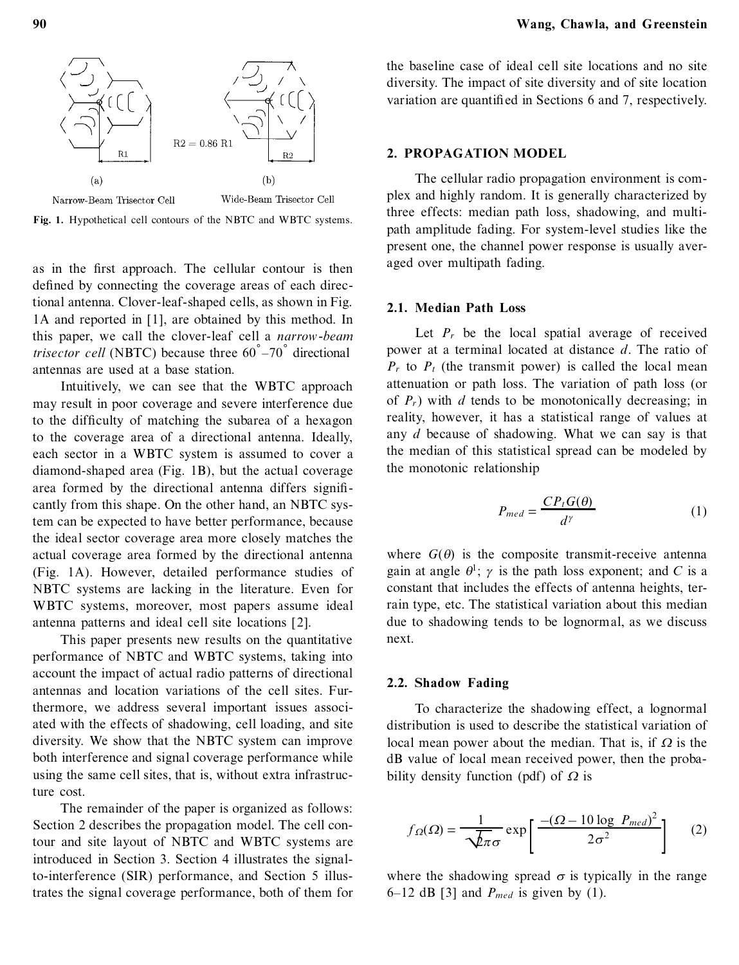



as in the first approach. The cellular contour is then defined by connecting the coverage areas of each directional antenna. Clover-leaf-shaped cells, as shown in Fig. 1A and reported in [1], are obtained by this method. In this paper, we call the clover-leaf cell a *narrow-beam trisector cell* (NBTC) because three  $60^{\circ} - 70^{\circ}$  directional antennas are used at a base station.

Intuitively, we can see that the WBTC approach may result in poor coverage and severe interference due to the difficulty of matching the subarea of a hexagon to the coverage area of a directional antenna. Ideally, each sector in a WBTC system is assumed to cover a diamond-shaped area (Fig. 1B), but the actual coverage area formed by the directional antenna differs significantly from this shape. On the other hand, an NBTC system can be expected to have better performance, because the ideal sector coverage area more closely matches the actual coverage area formed by the directional antenna (Fig. 1A). However, detailed performance studies of NBTC systems are lacking in the literature. Even for WBTC systems, moreover, most papers assume ideal antenna patterns and ideal cell site locations [2].

This paper presents new results on the quantitative performance of NBTC and WBTC systems, taking into account the impact of actual radio patterns of directional antennas and location variations of the cell sites. Furthermore, we address several important issues associated with the effects of shadowing, cell loading, and site diversity. We show that the NBTC system can improve both interference and signal coverage performance while using the same cell sites, that is, without extra infrastructure cost.

The remainder of the paper is organized as follows: Section 2 describes the propagation model. The cell contour and site layout of NBTC and WBTC systems are introduced in Section 3. Section 4 illustrates the signalto-interference (SIR) performance, and Section 5 illustrates the signal coverage performance, both of them for the baseline case of ideal cell site locations and no site diversity. The impact of site diversity and of site location variation are quantified in Sections 6 and 7, respectively.

#### **2. PROPAGATION MODEL**

The cellular radio propagation environment is com plex and highly random. It is generally characterized by three effects: median path loss, shadowing, and multipath amplitude fading. For system-level studies like the present one, the channel power response is usually averaged over multipath fading.

### **2.1. Median Path Loss**

Let  $P_r$  be the local spatial average of received power at a terminal located at distance *d*. The ratio of  $P_r$  to  $P_t$  (the transmit power) is called the local mean attenuation or path loss. The variation of path loss (or of  $P_r$ ) with *d* tends to be monotonically decreasing; in reality, however, it has a statistical range of values at any *d* because of shadowing. What we can say is that the median of this statistical spread can be modeled by the monotonic relationship

$$
P_{med} = \frac{CP_t G(\theta)}{d^{\gamma}}
$$
 (1)

where  $G(\theta)$  is the composite transmit-receive antenna gain at angle  $\theta^1$ ;  $\gamma$  is the path loss exponent; and *C* is a constant that includes the effects of antenna heights, terrain type, etc. The statistical variation about this median due to shadowing tends to be lognormal, as we discuss next.

#### **2.2. Shadow Fading**

To characterize the shadowing effect, a lognormal distribution is used to describe the statistical variation of local mean power about the median. That is, if  $\Omega$  is the dB value of local mean received power, then the probability density function (pdf) of  $\Omega$  is

$$
f_{\Omega}(\Omega) = \frac{1}{\sqrt{\lambda \pi} \sigma} \exp\left[\frac{-(\Omega - 10 \log P_{med})^2}{2\sigma^2}\right] \tag{2}
$$

where the shadowing spread  $\sigma$  is typically in the range  $6-12$  dB [3] and  $P_{med}$  is given by (1).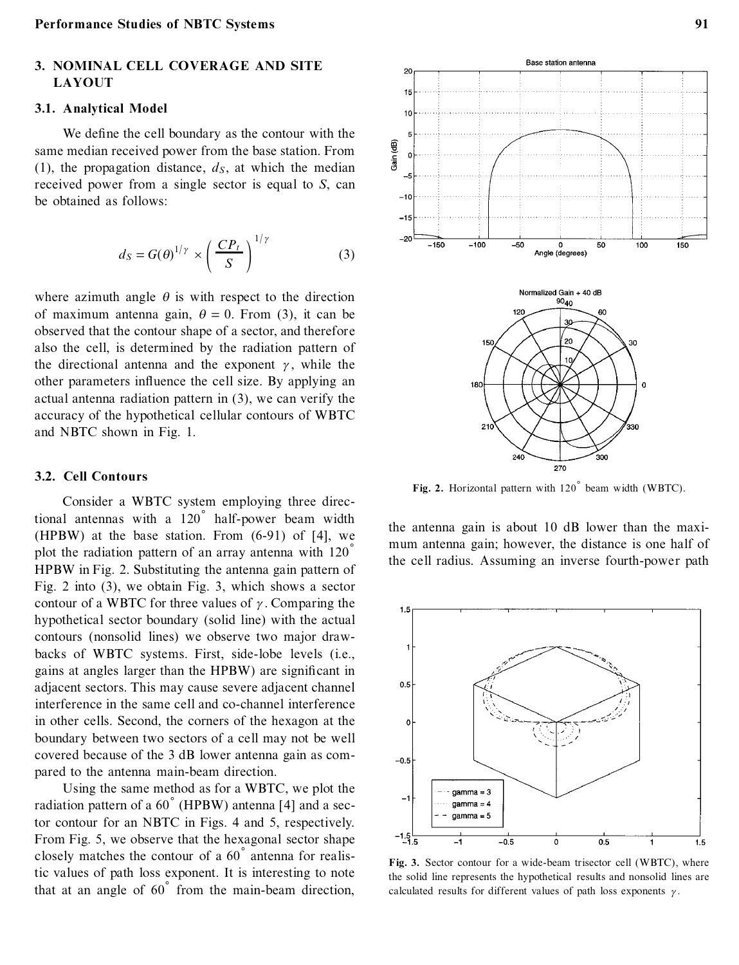# **3. NOMINAL CELL COVERAGE AND SITE LAYOUT**

#### **3.1. Analytical Model**

We define the cell boundary as the contour with the same median received power from the base station. From (1), the propagation distance,  $d<sub>S</sub>$ , at which the median received power from a single sector is equal to *S*, can be obtained as follows:

$$
d_S = G(\theta)^{1/\gamma} \times \left(\frac{CP_t}{S}\right)^{1/\gamma} \tag{3}
$$

where azimuth angle  $\theta$  is with respect to the direction of maximum antenna gain,  $\theta = 0$ . From (3), it can be observed that the contour shape of a sector, and therefore also the cell, is determined by the radiation pattern of the directional antenna and the exponent  $\gamma$ , while the other parameters influence the cell size. By applying an actual antenna radiation pattern in (3), we can verify the accuracy of the hypothetical cellular contours of WBTC and NBTC shown in Fig. 1.

#### **3.2. Cell Contours**

Consider a WBTC system employing three directional antennas with a  $120^\circ$  half-power beam width (HPBW) at the base station. From (6-91) of [4], we plot the radiation pattern of an array antenna with  $120<sup>°</sup>$ HPBW in Fig. 2. Substituting the antenna gain pattern of Fig. 2 into (3), we obtain Fig. 3, which shows a sector contour of a WBTC for three values of  $\gamma$ . Comparing the hypothetical sector boundary (solid line) with the actual contours (nonsolid lines) we observe two major drawbacks of WBTC systems. First, side-lobe levels (i.e., gains at angles larger than the HPBW) are significant in adjacent sectors. This may cause severe adjacent channel interference in the same cell and co-channel interference in other cells. Second, the corners of the hexagon at the boundary between two sectors of a cell may not be well covered because of the 3 dB lower antenna gain as com pared to the antenna main-beam direction.

Using the same method as for a WBTC, we plot the radiation pattern of a  $60^\circ$  (HPBW) antenna [4] and a sector contour for an NBTC in Figs. 4 and 5, respectively. From Fig. 5, we observe that the hexagonal sector shape closely matches the contour of a  $60^{\degree}$  antenna for realistic values of path loss exponent. It is interesting to note that at an angle of  $60^\circ$  from the main-beam direction,



Fig. 2. Horizontal pattern with 120° beam width (WBTC).

the antenna gain is about 10 dB lower than the maxi mum antenna gain; however, the distance is one half of the cell radius. Assuming an inverse fourth-power path



**Fig. 3.** Sector contour for a wide-beam trisector cell (WBTC), where the solid line represents the hypothetical results and nonsolid lines are calculated results for different values of path loss exponents  $\gamma$ .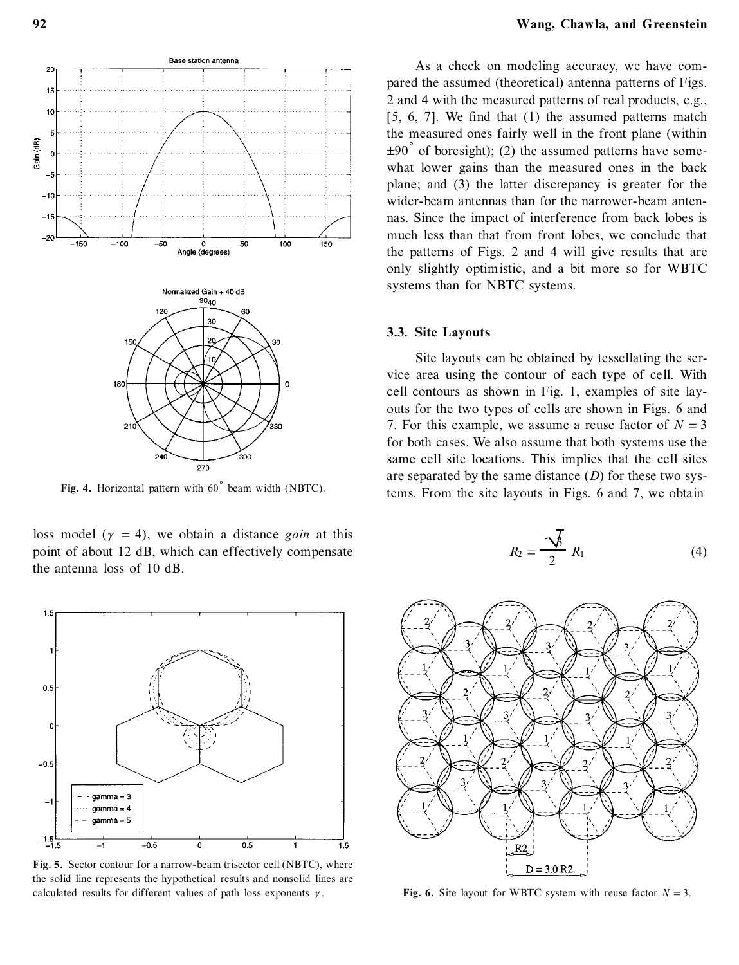

Fig. 4. Horizontal pattern with 60° beam width (NBTC).

loss model ( $\gamma$  = 4), we obtain a distance *gain* at this point of about 12 dB, which can effectively compensate the antenna loss of 10 dB.



**Fig. 5.** Sector contour for a narrow-beam trisector cell (NBTC), where the solid line represents the hypothetical results and nonsolid lines are calculated results for different values of path loss exponents  $\gamma$ .

As a check on modeling accuracy, we have com pared the assumed (theoretical) antenna patterns of Figs. 2 and 4 with the measured patterns of real products, e.g.,  $[5, 6, 7]$ . We find that  $(1)$  the assumed patterns match the measured ones fairly well in the front plane (within  $\pm 90^\circ$  of boresight); (2) the assumed patterns have somewhat lower gains than the measured ones in the back plane; and (3) the latter discrepancy is greater for the wider-beam antennas than for the narrower-beam antennas. Since the impact of interference from back lobes is much less than that from front lobes, we conclude that the patterns of Figs. 2 and 4 will give results that are only slightly optimistic, and a bit more so for WBTC systems than for NBTC systems.

#### **3.3. Site Layouts**

Site layouts can be obtained by tessellating the service area using the contour of each type of cell. With cell contours as shown in Fig. 1, examples of site layouts for the two types of cells are shown in Figs. 6 and 7. For this example, we assume a reuse factor of  $N = 3$ for both cases. We also assume that both systems use the same cell site locations. This implies that the cell sites are separated by the same distance (*D*) for these two systems. From the site layouts in Figs. 6 and 7, we obtain

$$
R_2 = \frac{\sqrt{\cancel{b}}}{2} R_1 \tag{4}
$$



**Fig.** 6. Site layout for WBTC system with reuse factor  $N = 3$ .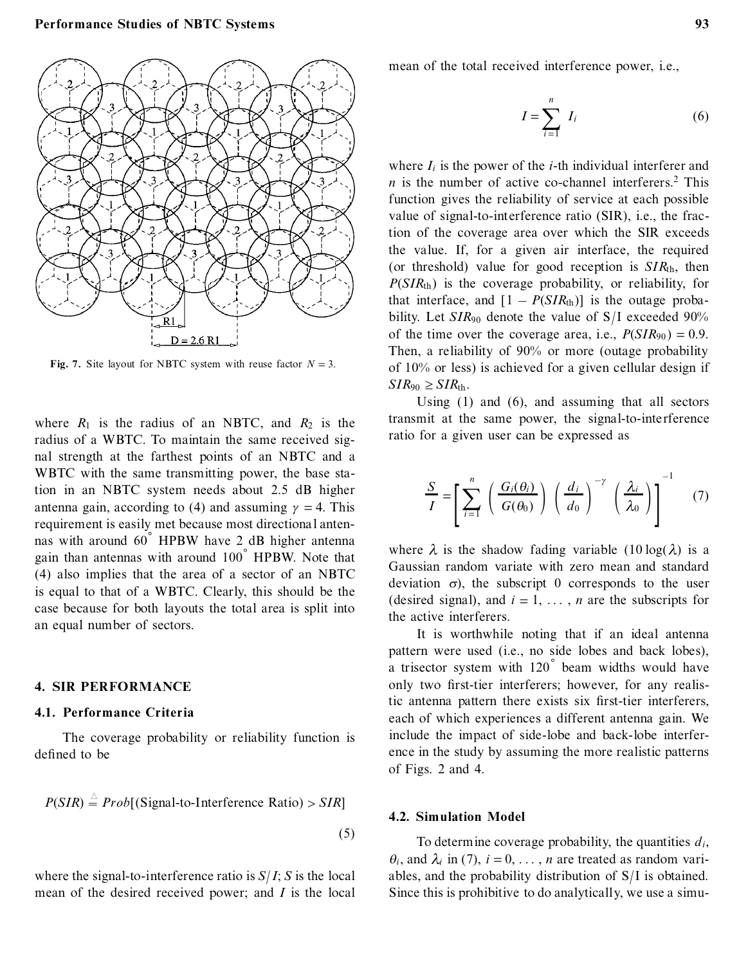

**Fig.** 7. Site layout for NBTC system with reuse factor  $N = 3$ .

where  $R_1$  is the radius of an NBTC, and  $R_2$  is the radius of a WBTC. To maintain the same received signal strength at the farthest points of an NBTC and a WBTC with the same transmitting power, the base station in an NBTC system needs about 2.5 dB higher antenna gain, according to (4) and assuming  $\gamma = 4$ . This requirement is easily met because most directional antennas with around  $60^\circ$  HPBW have 2 dB higher antenna gain than antennas with around  $100<sup>°</sup>$  HPBW. Note that (4) also implies that the area of a sector of an NBTC is equal to that of a WBTC. Clearly, this should be the case because for both layouts the total area is split into an equal number of sectors.

# **4. SIR PERFORMANCE**

## **4.1. Performance Criteria**

The coverage probability or reliability function is defined to be

$$
P(SIR) \stackrel{\triangle}{=} Prob[(Signal-to-Interference Ratio) > SIR]
$$
\n(5)

where the signal-to-interference ratio is  $S/I$ ; *S* is the local mean of the desired received power; and *I* is the local

mean of the total received interference power, i.e.,

$$
I = \sum_{i=1}^{n} I_i \tag{6}
$$

where  $I_i$  is the power of the *i*-th individual interferer and  $n$  is the number of active co-channel interferers.<sup>2</sup> This function gives the reliability of service at each possible value of signal-to-interference ratio (SIR), i.e., the fraction of the coverage area over which the SIR exceeds the value. If, for a given air interface, the required (or threshold) value for good reception is *SIR*th, then *P*(*SIR*th) is the coverage probability, or reliability, for that interface, and  $[1 - P(SIR<sub>th</sub>)]$  is the outage probability. Let *SIR*<sup>90</sup> denote the value of S/ I exceeded 90% of the time over the coverage area, i.e.,  $P(SIR_{90}) = 0.9$ . Then, a reliability of 90% or more (outage probability of 10% or less) is achieved for a given cellular design if  $SIR_{90} \geq SIR_{th}$ .

Using (1) and (6), and assuming that all sectors transmit at the same power, the signal-to-inte rference ratio for a given user can be expressed as

$$
\frac{S}{I} = \left[ \sum_{i=1}^{n} \left( \frac{G_i(\theta_i)}{G(\theta_0)} \right) \left( \frac{d_i}{d_0} \right)^{-\gamma} \left( \frac{\lambda_i}{\lambda_0} \right) \right]^{-1} \quad (7)
$$

where  $\lambda$  is the shadow fading variable (10 log( $\lambda$ ) is a Gaussian random variate with zero mean and standard deviation  $\sigma$ ), the subscript 0 corresponds to the user (desired signal), and  $i = 1, \ldots, n$  are the subscripts for the active interferers.

It is worthwhile noting that if an ideal antenna pattern were used (i.e., no side lobes and back lobes),  $\alpha$  trisector system with 120 $\degree$  beam widths would have only two first-tier interferers; however, for any realistic antenna pattern there exists six first-tier interferers, each of which experiences a different antenna gain. We include the impact of side-lobe and back-lobe interference in the study by assuming the more realistic patterns of Figs. 2 and 4.

#### **4.2. Simulation Model**

To determine coverage probability, the quantities *di*,  $\theta_i$ , and  $\lambda_i$  in (7),  $i = 0, \ldots, n$  are treated as random variables, and the probability distribution of S/ I is obtained. Since this is prohibitive to do analytically, we use a simu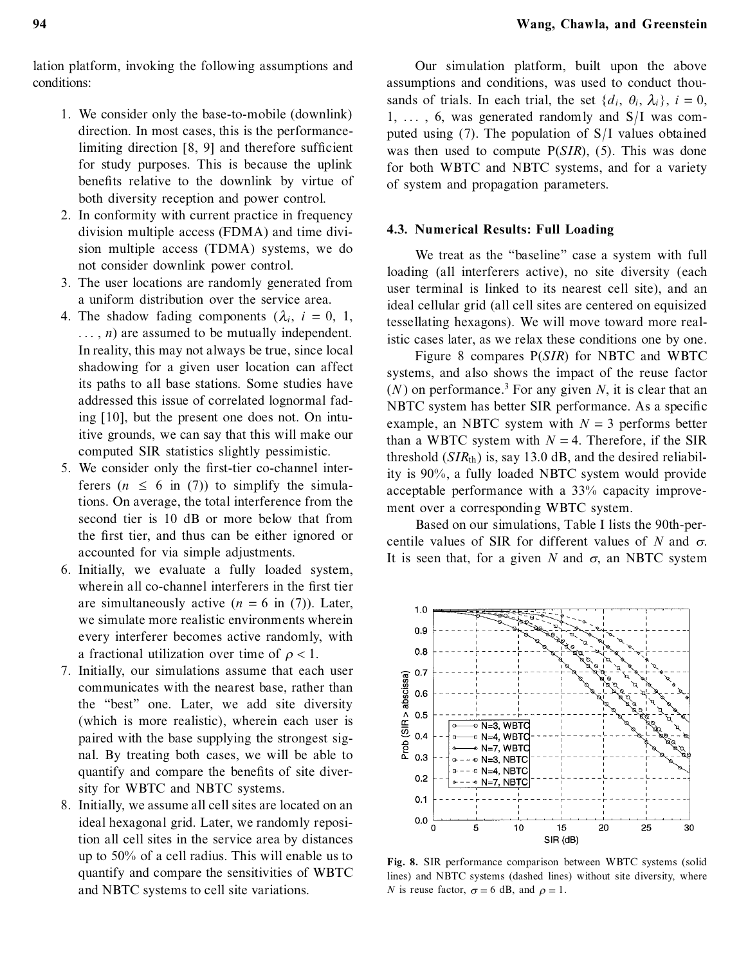lation platform, invoking the following assumptions and conditions:

- 1. We consider only the base-to-mobile (downlink) direction. In most cases, this is the performancelimiting direction  $[8, 9]$  and therefore sufficient for study purposes. This is because the uplink benefits relative to the downlink by virtue of both diversity reception and power control.
- 2. In conformity with current practice in frequency division multiple access (FDMA) and time division multiple access (TDMA) systems, we do not consider downlink power control.
- 3. The user locations are randomly generated from a uniform distribution over the service area.
- 4. The shadow fading components  $(\lambda_i, i = 0, 1,$  $\ldots$ , *n*) are assumed to be mutually independent. In reality, this may not always be true, since local shadowing for a given user location can affect its paths to all base stations. Some studies have addressed this issue of correlated lognormal fading [10], but the present one does not. On intuitive grounds, we can say that this will make our computed SIR statistics slightly pessimistic.
- 5. We consider only the first-tier co-channel interferers  $(n \leq 6$  in (7)) to simplify the simulations. On average, the total interference from the second tier is 10 dB or more below that from the first tier, and thus can be either ignored or accounted for via simple adjustments.
- 6. Initially, we evaluate a fully loaded system, wherein all co-channel interferers in the first tier are simultaneously active  $(n = 6$  in (7)). Later, we simulate more realistic environments wherein every interferer becomes active randomly, with a fractional utilization over time of  $\rho < 1$ .
- 7. Initially, our simulations assume that each user communicates with the nearest base, rather than the "best" one. Later, we add site diversity (which is more realistic), wherein each user is paired with the base supplying the strongest signal. By treating both cases, we will be able to quantify and compare the benefits of site diversity for WBTC and NBTC systems.
- 8. Initially, we assume all cell sites are located on an ideal hexagonal grid. Later, we randomly reposition all cell sites in the service area by distances up to 50% of a cell radius. This will enable us to quantify and compare the sensitivities of WBTC and NBTC systems to cell site variations.

Our simulation platform, built upon the above assumptions and conditions, was used to conduct thousands of trials. In each trial, the set  $\{d_i, \theta_i, \lambda_i\}$ ,  $i = 0$ ,  $1, \ldots, 6$ , was generated randomly and  $S/I$  was computed using (7). The population of S/ I values obtained was then used to compute P(*SIR*), (5). This was done for both WBTC and NBTC systems, and for a variety of system and propagation parameters.

## **4.3. Numerical Results: Full Loading**

We treat as the "baseline" case a system with full loading (all interferers active), no site diversity (each user terminal is linked to its nearest cell site), and an ideal cellular grid (all cell sites are centered on equisized tessellating hexagons). We will move toward more realistic cases later, as we relax these conditions one by one.

Figure 8 compares P(*SIR*) for NBTC and WBTC systems, and also shows the impact of the reuse factor  $(N)$  on performance.<sup>3</sup> For any given N, it is clear that an NBTC system has better SIR performance. As a specific example, an NBTC system with  $N = 3$  performs better than a WBTC system with  $N = 4$ . Therefore, if the SIR threshold  $(SIR<sub>th</sub>)$  is, say 13.0 dB, and the desired reliability is 90%, a fully loaded NBTC system would provide acceptable performance with a 33% capacity improve ment over a corresponding WBTC system.

Based on our simulations, Table I lists the 90th-percentile values of SIR for different values of *N* and  $\sigma$ . It is seen that, for a given *N* and  $\sigma$ , an NBTC system



**Fig. 8.** SIR performance comparison between WBTC systems (solid lines) and NBTC systems (dashed lines) without site diversity, where *N* is reuse factor,  $\sigma = 6$  dB, and  $\rho = 1$ .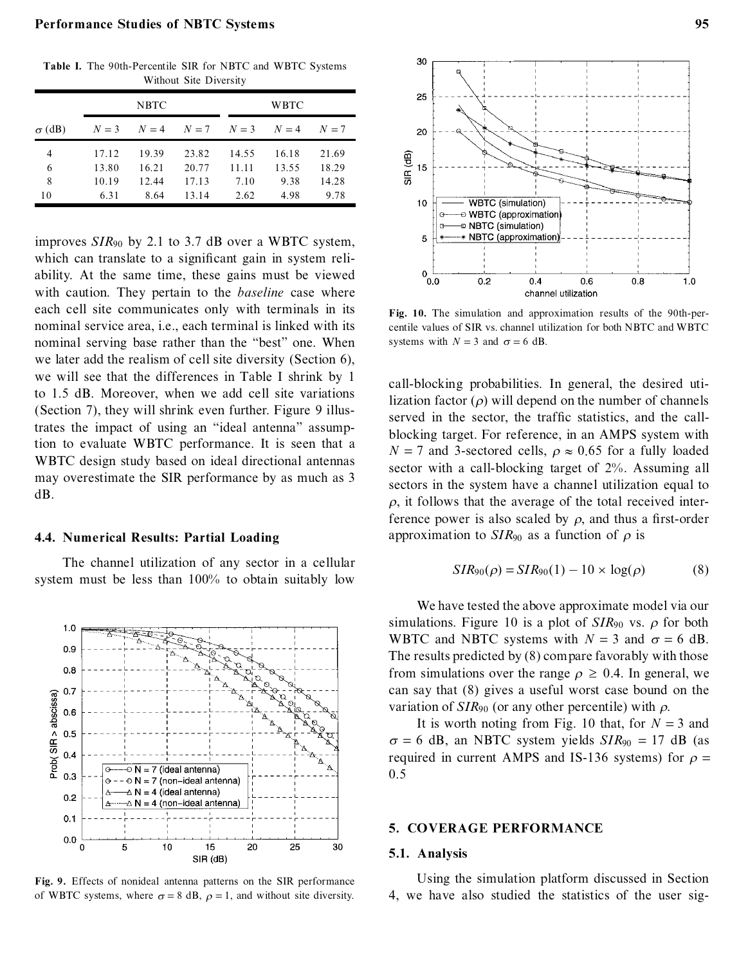## **Performance Studies of NBTC Systems 95**

**Table I.** The 90th-Percentile SIR for NBTC and WBTC Systems Without Site Diversity

|               | <b>NBTC</b> |       |                   |       | <b>WBTC</b> |       |  |
|---------------|-------------|-------|-------------------|-------|-------------|-------|--|
| $\sigma$ (dB) | $N=3$       |       | $N=4$ $N=7$ $N=3$ |       | $N=4$       | $N=7$ |  |
| 4             | 17.12       | 19.39 | 23.82             | 14.55 | 16.18       | 21.69 |  |
| 6             | 13.80       | 16.21 | 20.77             | 11.11 | 13.55       | 18.29 |  |
| 8             | 10.19       | 12.44 | 17.13             | 7.10  | 9.38        | 14.28 |  |
| 10            | 6.31        | 8.64  | 13.14             | 2.62  | 4.98        | 9.78  |  |

improves *SIR*<sup>90</sup> by 2.1 to 3.7 dB over a WBTC system, which can translate to a significant gain in system reliability. At the same time, these gains must be viewed with caution. They pertain to the *baseline* case where each cell site communicates only with terminals in its nominal service area, i.e., each terminal is linked with its nominal serving base rather than the "best" one. When we later add the realism of cell site diversity (Section 6), we will see that the differences in Table I shrink by 1 to 1.5 dB. Moreover, when we add cell site variations (Section 7), they will shrink even further. Figure 9 illustrates the impact of using an "ideal antenna" assumption to evaluate WBTC performance. It is seen that a WBTC design study based on ideal directional antennas may overestimate the SIR performance by as much as 3 dB.

## **4.4. Numerical Results: Partial Loading**

The channel utilization of any sector in a cellular system must be less than 100% to obtain suitably low



**Fig. 9.** Effects of nonideal antenna patterns on the SIR performance of WBTC systems, where  $\sigma = 8$  dB,  $\rho = 1$ , and without site diversity.



**Fig. 10.** The simulation and approximation results of the 90th-percentile values of SIR vs. channel utilization for both NBTC and WBTC systems with  $N = 3$  and  $\sigma = 6$  dB.

call-blocking probabilities. In general, the desired utilization factor  $(\rho)$  will depend on the number of channels served in the sector, the traffic statistics, and the callblocking target. For reference, in an AMPS system with  $N = 7$  and 3-sectored cells,  $\rho \approx 0.65$  for a fully loaded sector with a call-blocking target of 2%. Assuming all sectors in the system have a channel utilization equal to  $\rho$ , it follows that the average of the total received interference power is also scaled by  $\rho$ , and thus a first-order approximation to  $SIR<sub>90</sub>$  as a function of  $\rho$  is

$$
SIR90(\rho) = SIR90(1) - 10 \times \log(\rho)
$$
 (8)

We have tested the above approximate model via our simulations. Figure 10 is a plot of  $SIR_{90}$  vs.  $\rho$  for both WBTC and NBTC systems with  $N = 3$  and  $\sigma = 6$  dB. The results predicted by (8) compare favorably with those from simulations over the range  $\rho \geq 0.4$ . In general, we can say that (8) gives a useful worst case bound on the variation of  $SIR<sub>90</sub>$  (or any other percentile) with  $\rho$ .

It is worth noting from Fig. 10 that, for  $N = 3$  and  $\sigma = 6$  dB, an NBTC system yields  $SIR_{90} = 17$  dB (as required in current AMPS and IS-136 systems) for  $\rho =$ 0.5

# **5. COVERAGE PERFORMANCE**

#### **5.1. Analysis**

Using the simulation platform discussed in Section 4, we have also studied the statistics of the user sig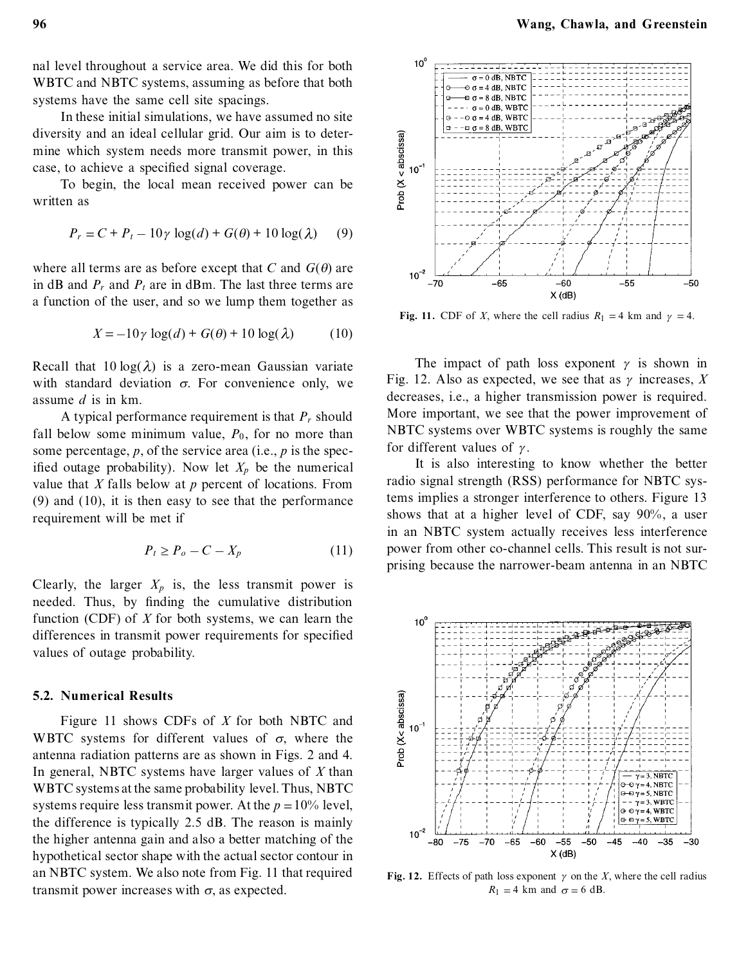nal level throughout a service area. We did this for both WBTC and NBTC systems, assuming as before that both systems have the same cell site spacings.

In these initial simulations, we have assumed no site diversity and an ideal cellular grid. Our aim is to deter mine which system needs more transmit power, in this case, to achieve a specified signal coverage.

To begin, the local mean received power can be written as

$$
P_r = C + P_t - 10\gamma \log(d) + G(\theta) + 10\log(\lambda)
$$
 (9)

where all terms are as before except that *C* and  $G(\theta)$  are in  $\text{dB}$  and  $P_t$  and  $P_t$  are in dBm. The last three terms are a function of the user, and so we lump them together as

$$
X = -10\gamma \log(d) + G(\theta) + 10\log(\lambda) \tag{10}
$$

Recall that  $10 \log(\lambda)$  is a zero-mean Gaussian variate with standard deviation  $\sigma$ . For convenience only, we assume *d* is in km.

A typical performance requirement is that *P<sup>r</sup>* should fall below some minimum value,  $P_0$ , for no more than some percentage, *p*, of the service area (i.e., *p* is the specified outage probability). Now let  $X_p$  be the numerical value that *X* falls below at *p* percent of locations. From (9) and (10), it is then easy to see that the performance requirement will be met if

$$
P_t \ge P_o - C - X_p \tag{11}
$$

Clearly, the larger  $X_p$  is, the less transmit power is needed. Thus, by finding the cumulative distribution function (CDF) of *X* for both systems, we can learn the differences in transmit power requirements for specified values of outage probability.

## **5.2. Numerical Results**

Figure 11 shows CDFs of *X* for both NBTC and WBTC systems for different values of  $\sigma$ , where the antenna radiation patterns are as shown in Figs. 2 and 4. In general, NBTC systems have larger values of *X* than WBTC systems at the same probability level. Thus, NBTC systems require less transmit power. At the  $p = 10\%$  level, the difference is typically 2.5 dB. The reason is mainly the higher antenna gain and also a better matching of the hypothetical sector shape with the actual sector contour in an NBTC system. We also note from Fig. 11 that required transmit power increases with  $\sigma$ , as expected.



**Fig. 11.** CDF of *X*, where the cell radius  $R_1 = 4$  km and  $\gamma = 4$ .

The impact of path loss exponent  $\gamma$  is shown in Fig. 12. Also as expected, we see that as  $\gamma$  increases, X decreases, i.e., a higher transmission power is required. More important, we see that the power improvement of NBTC systems over WBTC systems is roughly the same for different values of  $\gamma$ .

It is also interesting to know whether the better radio signal strength (RSS) performance for NBTC systems implies a stronger interference to others. Figure 13 shows that at a higher level of CDF, say 90%, a user in an NBTC system actually receives less interference power from other co-channel cells. This result is not surprising because the narrower-beam antenna in an NBTC



**Fig. 12.** Effects of path loss exponent  $\gamma$  on the *X*, where the cell radius  $R_1 = 4$  km and  $\sigma = 6$  dB.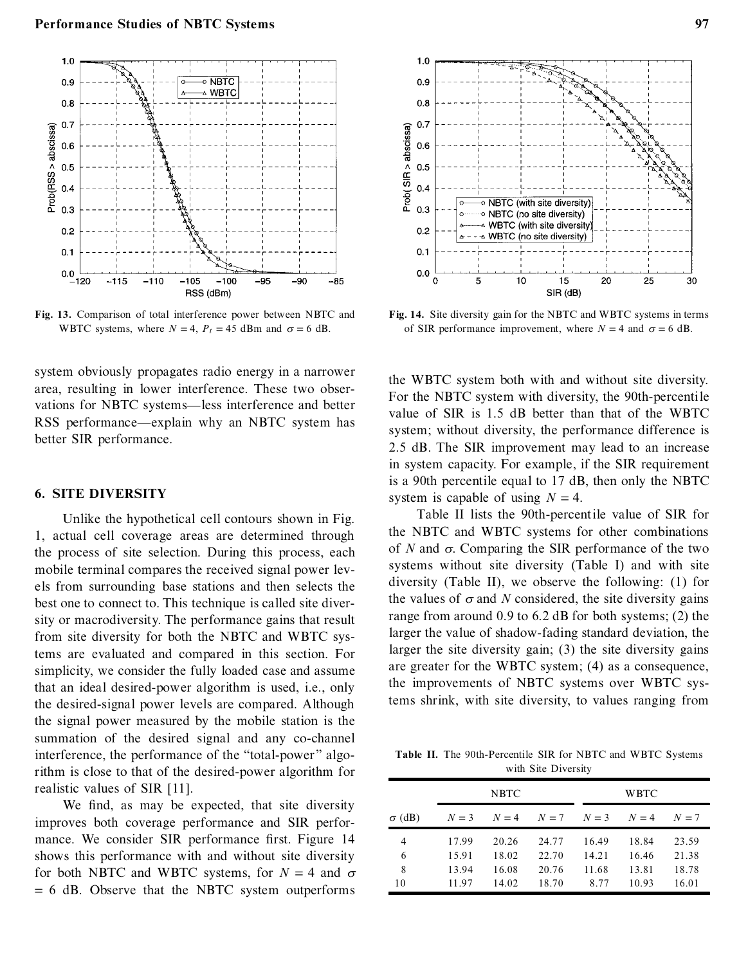

**Fig. 13.** Comparison of total interference power between NBTC and WBTC systems, where  $N = 4$ ,  $P_t = 45$  dBm and  $\sigma = 6$  dB.

system obviously propagates radio energy in a narrower area, resulting in lower interference. These two observations for NBTC systems-less interference and better RSS performance—explain why an NBTC system has better SIR performance.

# **6. SITE DIVERSITY**

Unlike the hypothetical cell contours shown in Fig. 1, actual cell coverage areas are determined through the process of site selection. During this process, each mobile terminal compares the received signal power levels from surrounding base stations and then selects the best one to connect to. This technique is called site diversity or macrodiversity. The performance gains that result from site diversity for both the NBTC and WBTC systems are evaluated and compared in this section. For simplicity, we consider the fully loaded case and assume that an ideal desired-power algorithm is used, i.e., only the desired-signal power levels are compared. Although the signal power measured by the mobile station is the summation of the desired signal and any co-channel interference, the performance of the "total-power" algorithm is close to that of the desired-power algorithm for realistic values of SIR [11].

We find, as may be expected, that site diversity improves both coverage performance and SIR perfor mance. We consider SIR performance first. Figure 14 shows this performance with and without site diversity for both NBTC and WBTC systems, for  $N = 4$  and  $\sigma$  $= 6$  dB. Observe that the NBTC system outperforms



**Fig. 14.** Site diversity gain for the NBTC and WBTC systems in terms of SIR performance improvement, where  $N = 4$  and  $\sigma = 6$  dB.

the WBTC system both with and without site diversity. For the NBTC system with diversity, the 90th-percentile value of SIR is 1.5 dB better than that of the WBTC system; without diversity, the performance difference is 2.5 dB. The SIR improvement may lead to an increase in system capacity. For example, if the SIR requirement is a 90th percentile equal to 17 dB, then only the NBTC system is capable of using  $N = 4$ .

Table II lists the 90th-percentile value of SIR for the NBTC and WBTC systems for other combinations of  $N$  and  $\sigma$ . Comparing the SIR performance of the two systems without site diversity (Table I) and with site diversity (Table II), we observe the following: (1) for the values of  $\sigma$  and *N* considered, the site diversity gains range from around 0.9 to 6.2 dB for both systems; (2) the larger the value of shadow-fading standard deviation, the larger the site diversity gain; (3) the site diversity gains are greater for the WBTC system; (4) as a consequence, the improvements of NBTC systems over WBTC systems shrink, with site diversity, to values ranging from

**Table II.** The 90th-Percentile SIR for NBTC and WBTC Systems with Site Diversity

|               | <b>NBTC</b> |       |       |       | <b>WBTC</b> |       |  |
|---------------|-------------|-------|-------|-------|-------------|-------|--|
| $\sigma$ (dB) | $N=3$       | $N=4$ | $N=7$ | $N=3$ | $N=4$       | $N=7$ |  |
| 4             | 17.99       | 20.26 | 24.77 | 16.49 | 18.84       | 23.59 |  |
| 6             | 15.91       | 18.02 | 22.70 | 14.21 | 16.46       | 21.38 |  |
| 8             | 13.94       | 16.08 | 20.76 | 11.68 | 13.81       | 18.78 |  |
| 10            | 11.97       | 14.02 | 18.70 | 8.77  | 10.93       | 16.01 |  |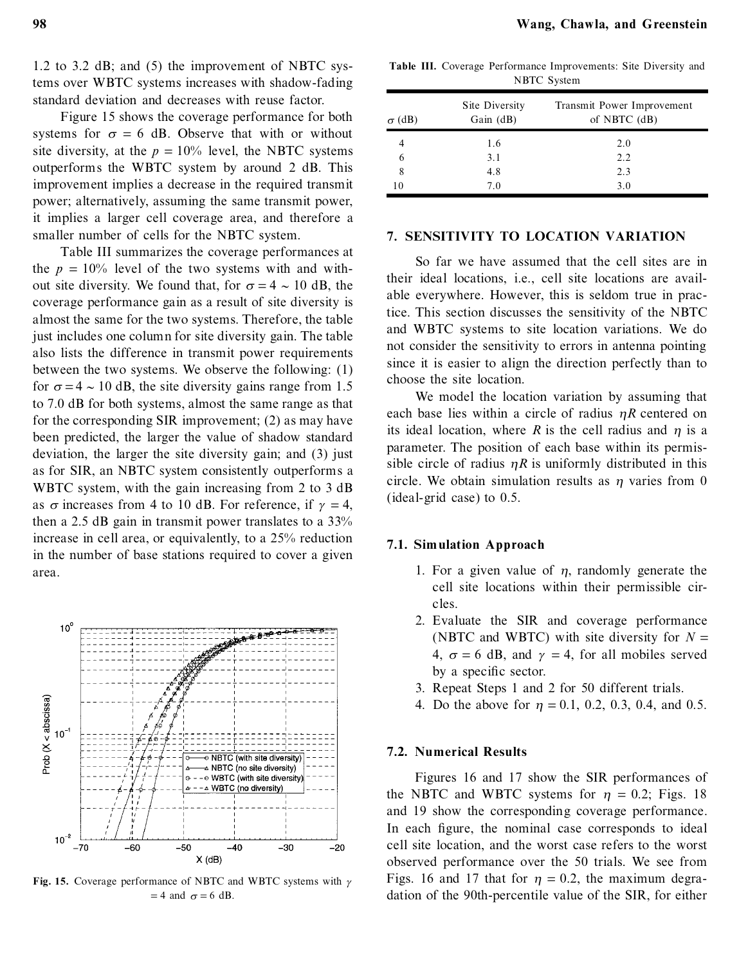1.2 to 3.2 dB; and (5) the improvement of NBTC systems over WBTC systems increases with shadow-fading standard deviation and decreases with reuse factor.

Figure 15 shows the coverage performance for both systems for  $\sigma = 6$  dB. Observe that with or without site diversity, at the  $p = 10\%$  level, the NBTC systems outperforms the WBTC system by around 2 dB. This improvement implies a decrease in the required transmit power; alternatively, assuming the same transmit power, it implies a larger cell coverage area, and therefore a smaller number of cells for the NBTC system.

Table III summarizes the coverage performances at the  $p = 10\%$  level of the two systems with and without site diversity. We found that, for  $\sigma = 4 \sim 10$  dB, the coverage performance gain as a result of site diversity is almost the same for the two systems. Therefore, the table just includes one column for site diversity gain. The table also lists the difference in transmit power requirements between the two systems. We observe the following: (1) for  $\sigma = 4 \sim 10$  dB, the site diversity gains range from 1.5 to 7.0 dB for both systems, almost the same range as that for the corresponding SIR improvement; (2) as may have been predicted, the larger the value of shadow standard deviation, the larger the site diversity gain; and (3) just as for SIR, an NBTC system consistently outperforms a WBTC system, with the gain increasing from  $2$  to  $3$  dB as  $\sigma$  increases from 4 to 10 dB. For reference, if  $\gamma = 4$ , then a 2.5 dB gain in transmit power translates to a 33% increase in cell area, or equivalently, to a 25% reduction in the number of base stations required to cover a given area.



**Fig. 15.** Coverage performance of NBTC and WBTC systems with  $\gamma$  $= 4$  and  $\sigma = 6$  dB.

|  |                    | Table III. Coverage Performance Improvements: Site Diversity and |  |  |
|--|--------------------|------------------------------------------------------------------|--|--|
|  | <b>NBTC</b> System |                                                                  |  |  |

| $\sigma$ (dB) | Site Diversity<br>Gain $(dB)$ | Transmit Power Improvement<br>of NBTC $(dB)$ |
|---------------|-------------------------------|----------------------------------------------|
|               | 1.6                           | 2.0                                          |
| 6             | 3.1                           | 2.2                                          |
| 8             | 4.8                           | 2.3                                          |
| 10            | 7.0                           | 3.0                                          |

#### **7. SENSITIVITY TO LOCATION VARIATION**

So far we have assumed that the cell sites are in their ideal locations, i.e., cell site locations are available everywhere. However, this is seldom true in practice. This section discusses the sensitivity of the NBTC and WBTC systems to site location variations. We do not consider the sensitivity to errors in antenna pointing since it is easier to align the direction perfectly than to choose the site location.

We model the location variation by assuming that each base lies within a circle of radius  $\eta R$  centered on its ideal location, where  $R$  is the cell radius and  $\eta$  is a parameter. The position of each base within its permissible circle of radius  $\eta R$  is uniformly distributed in this circle. We obtain simulation results as  $\eta$  varies from 0 (ideal-grid case) to 0.5.

### **7.1. Simulation Approach**

- 1. For a given value of  $\eta$ , randomly generate the cell site locations within their permissible circles.
- 2. Evaluate the SIR and coverage performance (NBTC and WBTC) with site diversity for  $N =$ 4,  $\sigma = 6$  dB, and  $\gamma = 4$ , for all mobiles served by a specific sector.
- 3. Repeat Steps 1 and 2 for 50 different trials.
- 4. Do the above for  $\eta = 0.1, 0.2, 0.3, 0.4,$  and 0.5.

#### **7.2. Numerical Results**

Figures 16 and 17 show the SIR performances of the NBTC and WBTC systems for  $\eta = 0.2$ ; Figs. 18 and 19 show the corresponding coverage performance. In each figure, the nominal case corresponds to ideal cell site location, and the worst case refers to the worst observed performance over the 50 trials. We see from Figs. 16 and 17 that for  $\eta = 0.2$ , the maximum degradation of the 90th-percentile value of the SIR, for either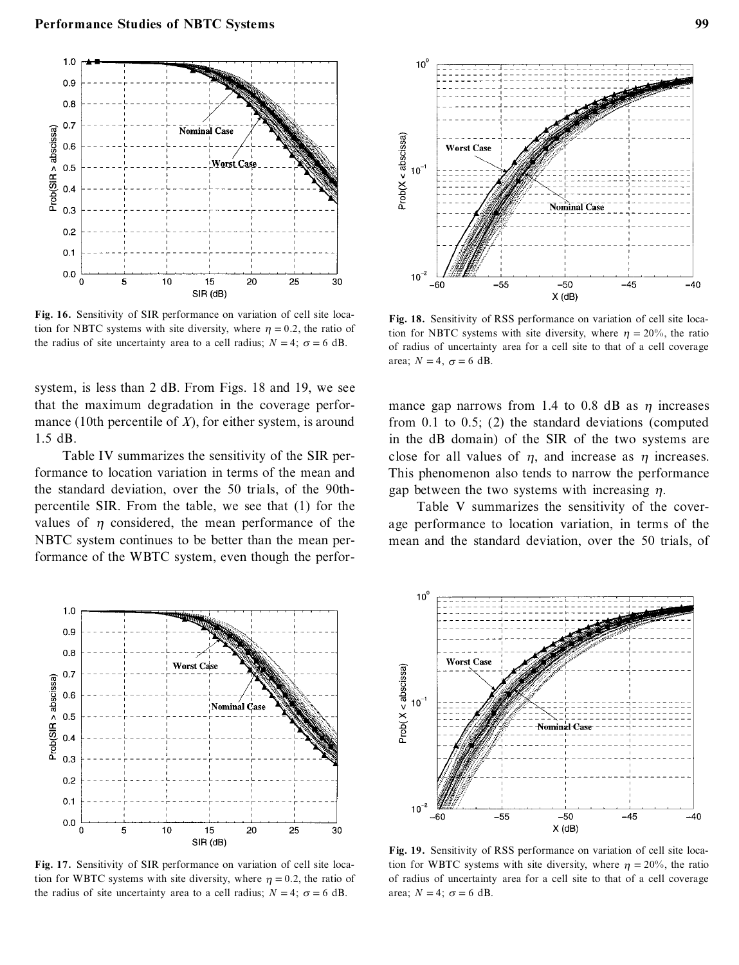

**Fig. 16.** Sensitivity of SIR performance on variation of cell site location for NBTC systems with site diversity, where  $\eta = 0.2$ , the ratio of the radius of site uncertainty area to a cell radius;  $N = 4$ ;  $\sigma = 6$  dB.

system, is less than 2 dB. From Figs. 18 and 19, we see that the maximum degradation in the coverage perfor mance (10th percentile of *X*), for either system, is around 1.5 dB.

Table IV summarizes the sensitivity of the SIR performance to location variation in terms of the mean and the standard deviation, over the 50 trials, of the 90thpercentile SIR. From the table, we see that (1) for the values of  $\eta$  considered, the mean performance of the NBTC system continues to be better than the mean performance of the WBTC system, even though the perfor-



**Fig. 17.** Sensitivity of SIR performance on variation of cell site location for WBTC systems with site diversity, where  $\eta = 0.2$ , the ratio of the radius of site uncertainty area to a cell radius;  $N = 4$ ;  $\sigma = 6$  dB.



**Fig. 18.** Sensitivity of RSS performance on variation of cell site location for NBTC systems with site diversity, where  $\eta = 20\%$ , the ratio of radius of uncertainty area for a cell site to that of a cell coverage area;  $N = 4$ ,  $\sigma = 6$  dB.

mance gap narrows from 1.4 to 0.8 dB as  $\eta$  increases from 0.1 to 0.5; (2) the standard deviations (computed in the dB domain) of the SIR of the two systems are close for all values of  $\eta$ , and increase as  $\eta$  increases. This phenomenon also tends to narrow the performance gap between the two systems with increasing  $\eta$ .

Table V summarizes the sensitivity of the coverage performance to location variation, in terms of the mean and the standard deviation, over the 50 trials, of



**Fig. 19.** Sensitivity of RSS performance on variation of cell site location for WBTC systems with site diversity, where  $\eta = 20\%$ , the ratio of radius of uncertainty area for a cell site to that of a cell coverage area;  $N = 4$ ;  $\sigma = 6$  dB.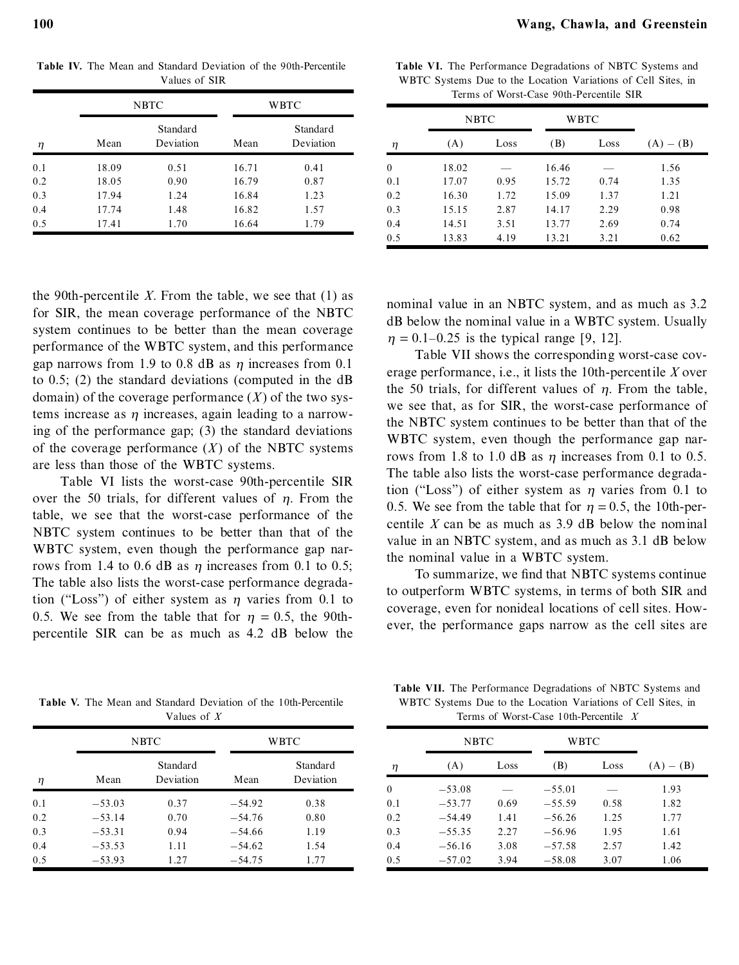**Table IV.** The Mean and Standard Deviation of the 90th-Percentile Values of SIR

|     |       | <b>NBTC</b>           | WBTC  |                       |  |
|-----|-------|-----------------------|-------|-----------------------|--|
| η   | Mean  | Standard<br>Deviation | Mean  | Standard<br>Deviation |  |
| 0.1 | 18.09 | 0.51                  | 16.71 | 0.41                  |  |
| 0.2 | 18.05 | 0.90                  | 16.79 | 0.87                  |  |
| 0.3 | 17.94 | 1.24                  | 16.84 | 1.23                  |  |
| 0.4 | 17.74 | 1.48                  | 16.82 | 1.57                  |  |
| 0.5 | 17.41 | 1.70                  | 16.64 | 1.79                  |  |

the 90th-percentile *X*. From the table, we see that  $(1)$  as for SIR, the mean coverage performance of the NBTC system continues to be better than the mean coverage performance of the WBTC system, and this performance gap narrows from 1.9 to 0.8 dB as  $\eta$  increases from 0.1 to 0.5; (2) the standard deviations (computed in the dB domain) of the coverage performance  $(X)$  of the two systems increase as  $\eta$  increases, again leading to a narrowing of the performance gap; (3) the standard deviations of the coverage performance  $(X)$  of the NBTC systems are less than those of the WBTC systems.

Table VI lists the worst-case 90th-percentile SIR over the 50 trials, for different values of  $\eta$ . From the table, we see that the worst-case performance of the NBTC system continues to be better than that of the WBTC system, even though the performance gap narrows from 1.4 to 0.6 dB as  $\eta$  increases from 0.1 to 0.5; The table also lists the worst-case performance degradation ("Loss") of either system as  $\eta$  varies from 0.1 to 0.5. We see from the table that for  $\eta = 0.5$ , the 90thpercentile SIR can be as much as 4.2 dB below the

**Table VI.** The Performance Degradations of NBTC Systems and WBTC Systems Due to the Location Variations of Cell Sites, in Terms of Worst-Case 90th-Percentile SIR

|          | <b>NBTC</b> |      |       | WBTC |             |
|----------|-------------|------|-------|------|-------------|
| η        | (A)         | Loss | (B)   | Loss | $(A) - (B)$ |
| $\theta$ | 18.02       |      | 16.46 |      | 1.56        |
| 0.1      | 17.07       | 0.95 | 15.72 | 0.74 | 1.35        |
| 0.2      | 16.30       | 1.72 | 15.09 | 1.37 | 1.21        |
| 0.3      | 15.15       | 2.87 | 14.17 | 2.29 | 0.98        |
| 0.4      | 14.51       | 3.51 | 13.77 | 2.69 | 0.74        |
| 0.5      | 13.83       | 4.19 | 13.21 | 3.21 | 0.62        |

nominal value in an NBTC system, and as much as 3.2 dB below the nominal value in a WBTC system. Usually  $\eta = 0.1 - 0.25$  is the typical range [9, 12].

Table VII shows the corresponding worst-case coverage performance, i.e., it lists the 10th-percentile *X* over the 50 trials, for different values of  $\eta$ . From the table, we see that, as for SIR, the worst-case performance of the NBTC system continues to be better than that of the WBTC system, even though the performance gap narrows from 1.8 to 1.0 dB as  $\eta$  increases from 0.1 to 0.5. The table also lists the worst-case performance degradation ("Loss") of either system as  $\eta$  varies from 0.1 to 0.5. We see from the table that for  $\eta = 0.5$ , the 10th-percentile *X* can be as much as 3.9 dB below the nominal value in an NBTC system, and as much as 3.1 dB below the nominal value in a WBTC system.

To summarize, we find that NBTC systems continue to outperform WBTC systems, in terms of both SIR and coverage, even for nonideal locations of cell sites. However, the performance gaps narrow as the cell sites are

**Table V.** The Mean and Standard Deviation of the 10th-Percentile Values of *X*

|     |          | NBTC                  |          | WBTC                  |  |  |
|-----|----------|-----------------------|----------|-----------------------|--|--|
| η   | Mean     | Standard<br>Deviation | Mean     | Standard<br>Deviation |  |  |
| 0.1 | $-53.03$ | 0.37                  | $-54.92$ | 0.38                  |  |  |
| 0.2 | $-53.14$ | 0.70                  | $-54.76$ | 0.80                  |  |  |
| 0.3 | $-53.31$ | 0.94                  | $-54.66$ | 1.19                  |  |  |
| 0.4 | $-53.53$ | 1.11                  | $-54.62$ | 1.54                  |  |  |
| 0.5 | $-53.93$ | 1.27                  | $-54.75$ | 1.77                  |  |  |

**Table VII.** The Performance Degradations of NBTC Systems and WBTC Systems Due to the Location Variations of Cell Sites, in Terms of Worst-Case 10th-Percentile *X*

|              | NBTC<br>WBTC |      |          |      |             |  |
|--------------|--------------|------|----------|------|-------------|--|
| η            | (A)          | Loss | (B)      | Loss | $(A) - (B)$ |  |
| $\mathbf{0}$ | $-53.08$     |      | $-55.01$ |      | 1.93        |  |
| 0.1          | $-53.77$     | 0.69 | $-55.59$ | 0.58 | 1.82        |  |
| 0.2          | $-54.49$     | 1.41 | $-56.26$ | 1.25 | 1.77        |  |
| 0.3          | $-55.35$     | 2.27 | $-56.96$ | 1.95 | 1.61        |  |
| 0.4          | $-56.16$     | 3.08 | $-57.58$ | 2.57 | 1.42        |  |
| 0.5          | $-57.02$     | 3.94 | $-58.08$ | 3.07 | 1.06        |  |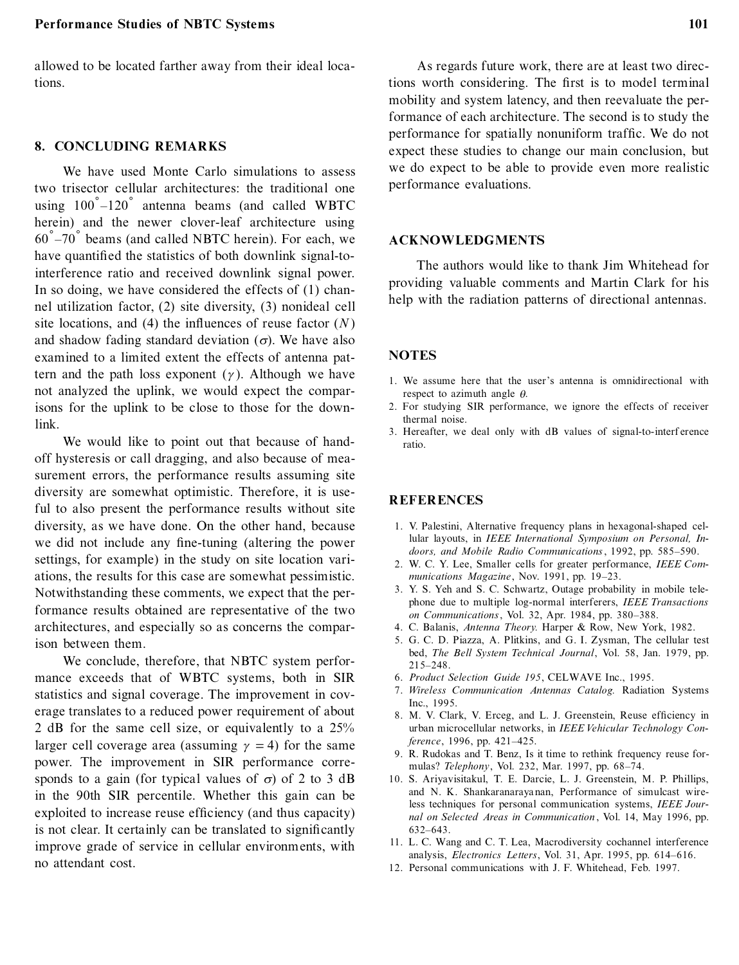allowed to be located farther away from their ideal locations.

#### **8. CONCLUDING REMARKS**

We have used Monte Carlo simulations to assess two trisector cellular architectures: the traditional one using  $100\degree$  -120 $\degree$  antenna beams (and called WBTC herein) and the newer clover-leaf architecture using  $60\degree$  -70 $\degree$  beams (and called NBTC herein). For each, we have quantified the statistics of both downlink signal-tointerference ratio and received downlink signal power. In so doing, we have considered the effects of (1) channel utilization factor, (2) site diversity, (3) nonideal cell site locations, and  $(4)$  the influences of reuse factor  $(N)$ and shadow fading standard deviation  $(\sigma)$ . We have also examined to a limited extent the effects of antenna pattern and the path loss exponent  $(\gamma)$ . Although we have not analyzed the uplink, we would expect the comparisons for the uplink to be close to those for the downlink.

We would like to point out that because of handoff hysteresis or call dragging, and also because of measurement errors, the performance results assuming site diversity are somewhat optimistic. Therefore, it is useful to also present the performance results without site diversity, as we have done. On the other hand, because we did not include any fine-tuning (altering the power settings, for example) in the study on site location variations, the results for this case are somewhat pessimistic. Notwithstanding these comments, we expect that the performance results obtained are representative of the two architectures, and especially so as concerns the comparison between them.

We conclude, therefore, that NBTC system perfor mance exceeds that of WBTC systems, both in SIR statistics and signal coverage. The improvement in coverage translates to a reduced power requirement of about 2 dB for the same cell size, or equivalently to a 25% larger cell coverage area (assuming  $\gamma = 4$ ) for the same power. The improvement in SIR performance corresponds to a gain (for typical values of  $\sigma$ ) of 2 to 3 dB in the 90th SIR percentile. Whether this gain can be exploited to increase reuse efficiency (and thus capacity) is not clear. It certainly can be translated to significantly improve grade of service in cellular environments, with no attendant cost.

As regards future work, there are at least two directions worth considering. The first is to model terminal mobility and system latency, and then reevaluate the performance of each architecture. The second is to study the performance for spatially nonuniform traffic. We do not expect these studies to change our main conclusion, but we do expect to be able to provide even more realistic performance evaluations.

## **ACKNOWLEDGMENTS**

The authors would like to thank Jim Whitehead for providing valuable comments and Martin Clark for his help with the radiation patterns of directional antennas.

#### **NOTES**

- 1. We assume here that the user's antenna is omnidirectional with respect to azimuth angle *h*.
- 2. For studying SIR performance, we ignore the effects of receiver thermal noise.
- 3. Hereafter, we deal only with dB values of signal-to-interf erence ratio.

## **REFERENCES**

- 1. V. Palestini, Alternative frequency plans in hexagonal-shaped cellular layouts, in *IEEE International Symposium on Personal, Indoors, and Mobile Radio Communications*, 1992, pp. 585-590.
- 2. W. C. Y. Lee, Smaller cells for greater performance, *IEEE Com*munications Magazine, Nov. 1991, pp. 19-23.
- 3. Y. S. Yeh and S. C. Schwartz, Outage probability in mobile telephone due to multiple log-normal interferers, *IEEE Transactions on Communications*, Vol. 32, Apr. 1984, pp. 380-388.
- 4. C. Balanis, *Antenna Theory.* Harper & Row, New York, 1982.
- 5. G. C. D. Piazza, A. Plitkins, and G. I. Zysman, The cellular test bed, *The Bell System Technical Journal*, Vol. 58, Jan. 1979, pp. 215±248.
- 6. *Product Selection Guide 195*, CELWAVE Inc., 1995.
- 7. *Wireless Communication Antennas Catalog.* Radiation Systems Inc., 1995.
- 8. M. V. Clark, V. Erceg, and L. J. Greenstein, Reuse efficiency in urban microcellular networks, in *IEEE Vehicular Technology Conference*, 1996, pp. 421-425.
- 9. R. Rudokas and T. Benz, Is it time to rethink frequency reuse formulas? *Telephony*, Vol. 232, Mar. 1997, pp. 68-74.
- 10. S. Ariyavisitakul, T. E. Darcie, L. J. Greenstein, M. P. Phillips, and N. K. Shankaranaraya nan, Performance of simulcast wireless techniques for personal communication systems, *IEEE Journal on Selected Areas in Communication* , Vol. 14, May 1996, pp. 632±643.
- 11. L. C. Wang and C. T. Lea, Macrodiversity cochannel interference analysis, *Electronics Letters*, Vol. 31, Apr. 1995, pp. 614–616.
- 12. Personal communications with J. F. Whitehead, Feb. 1997.